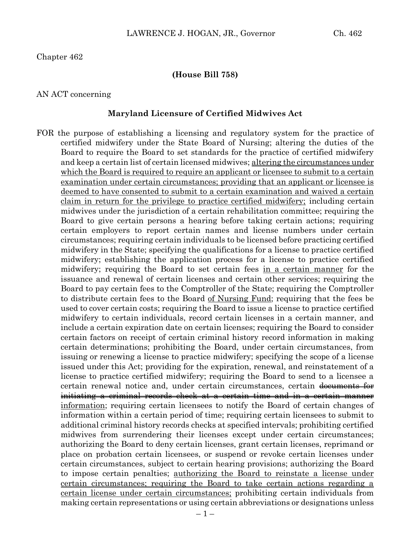Chapter 462

#### **(House Bill 758)**

#### AN ACT concerning

#### **Maryland Licensure of Certified Midwives Act**

FOR the purpose of establishing a licensing and regulatory system for the practice of certified midwifery under the State Board of Nursing; altering the duties of the Board to require the Board to set standards for the practice of certified midwifery and keep a certain list of certain licensed midwives; altering the circumstances under which the Board is required to require an applicant or licensee to submit to a certain examination under certain circumstances; providing that an applicant or licensee is deemed to have consented to submit to a certain examination and waived a certain claim in return for the privilege to practice certified midwifery; including certain midwives under the jurisdiction of a certain rehabilitation committee; requiring the Board to give certain persons a hearing before taking certain actions; requiring certain employers to report certain names and license numbers under certain circumstances; requiring certain individuals to be licensed before practicing certified midwifery in the State; specifying the qualifications for a license to practice certified midwifery; establishing the application process for a license to practice certified midwifery; requiring the Board to set certain fees in a certain manner for the issuance and renewal of certain licenses and certain other services; requiring the Board to pay certain fees to the Comptroller of the State; requiring the Comptroller to distribute certain fees to the Board of Nursing Fund; requiring that the fees be used to cover certain costs; requiring the Board to issue a license to practice certified midwifery to certain individuals, record certain licenses in a certain manner, and include a certain expiration date on certain licenses; requiring the Board to consider certain factors on receipt of certain criminal history record information in making certain determinations; prohibiting the Board, under certain circumstances, from issuing or renewing a license to practice midwifery; specifying the scope of a license issued under this Act; providing for the expiration, renewal, and reinstatement of a license to practice certified midwifery; requiring the Board to send to a licensee a certain renewal notice and, under certain circumstances, certain documents for initiating a criminal records check at a certain time and in a certain manner information; requiring certain licensees to notify the Board of certain changes of information within a certain period of time; requiring certain licensees to submit to additional criminal history records checks at specified intervals; prohibiting certified midwives from surrendering their licenses except under certain circumstances; authorizing the Board to deny certain licenses, grant certain licenses, reprimand or place on probation certain licensees, or suspend or revoke certain licenses under certain circumstances, subject to certain hearing provisions; authorizing the Board to impose certain penalties; authorizing the Board to reinstate a license under certain circumstances; requiring the Board to take certain actions regarding a certain license under certain circumstances; prohibiting certain individuals from making certain representations or using certain abbreviations or designations unless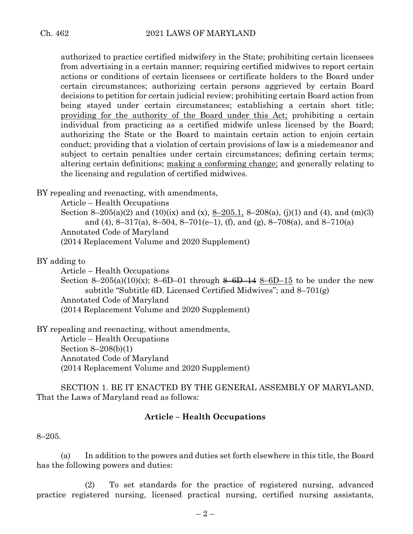authorized to practice certified midwifery in the State; prohibiting certain licensees from advertising in a certain manner; requiring certified midwives to report certain actions or conditions of certain licensees or certificate holders to the Board under certain circumstances; authorizing certain persons aggrieved by certain Board decisions to petition for certain judicial review; prohibiting certain Board action from being stayed under certain circumstances; establishing a certain short title; providing for the authority of the Board under this Act; prohibiting a certain individual from practicing as a certified midwife unless licensed by the Board; authorizing the State or the Board to maintain certain action to enjoin certain conduct; providing that a violation of certain provisions of law is a misdemeanor and subject to certain penalties under certain circumstances; defining certain terms; altering certain definitions; making a conforming change; and generally relating to the licensing and regulation of certified midwives.

BY repealing and reenacting, with amendments,

Article – Health Occupations

Section 8–205(a)(2) and (10)(ix) and (x), 8–205.1, 8–208(a), (j)(1) and (4), and (m)(3) and (4), 8–317(a), 8–504, 8–701(e–1), (f), and (g), 8–708(a), and 8–710(a) Annotated Code of Maryland (2014 Replacement Volume and 2020 Supplement)

BY adding to

Article – Health Occupations

Section 8–205(a)(10)(x); 8–6D–01 through  $\frac{14.8}{14.8}$ –6D–15 to be under the new subtitle "Subtitle 6D. Licensed Certified Midwives"; and 8–701(g) Annotated Code of Maryland (2014 Replacement Volume and 2020 Supplement)

BY repealing and reenacting, without amendments,

Article – Health Occupations Section 8–208(b)(1) Annotated Code of Maryland (2014 Replacement Volume and 2020 Supplement)

SECTION 1. BE IT ENACTED BY THE GENERAL ASSEMBLY OF MARYLAND, That the Laws of Maryland read as follows:

## **Article – Health Occupations**

8–205.

(a) In addition to the powers and duties set forth elsewhere in this title, the Board has the following powers and duties:

(2) To set standards for the practice of registered nursing, advanced practice registered nursing, licensed practical nursing, certified nursing assistants,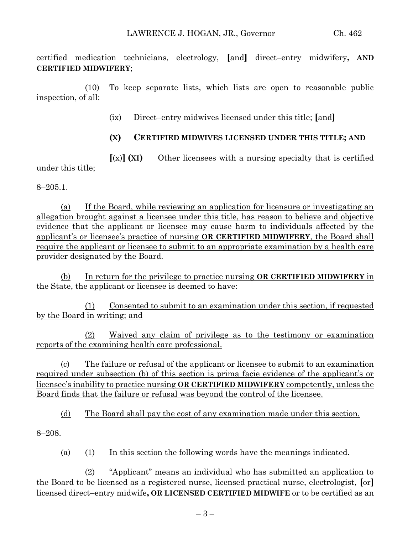certified medication technicians, electrology, **[**and**]** direct–entry midwifery**, AND CERTIFIED MIDWIFERY**;

(10) To keep separate lists, which lists are open to reasonable public inspection, of all:

(ix) Direct–entry midwives licensed under this title; **[**and**]**

## **(X) CERTIFIED MIDWIVES LICENSED UNDER THIS TITLE; AND**

**[**(x)**] (XI)** Other licensees with a nursing specialty that is certified under this title;

 $8 - 205.1$ .

(a) If the Board, while reviewing an application for licensure or investigating an allegation brought against a licensee under this title, has reason to believe and objective evidence that the applicant or licensee may cause harm to individuals affected by the applicant's or licensee's practice of nursing **OR CERTIFIED MIDWIFERY**, the Board shall require the applicant or licensee to submit to an appropriate examination by a health care provider designated by the Board.

(b) In return for the privilege to practice nursing **OR CERTIFIED MIDWIFERY** in the State, the applicant or licensee is deemed to have:

(1) Consented to submit to an examination under this section, if requested by the Board in writing; and

(2) Waived any claim of privilege as to the testimony or examination reports of the examining health care professional.

(c) The failure or refusal of the applicant or licensee to submit to an examination required under subsection (b) of this section is prima facie evidence of the applicant's or licensee's inability to practice nursing **OR CERTIFIED MIDWIFERY** competently, unless the Board finds that the failure or refusal was beyond the control of the licensee.

(d) The Board shall pay the cost of any examination made under this section.

8–208.

(a) (1) In this section the following words have the meanings indicated.

(2) "Applicant" means an individual who has submitted an application to the Board to be licensed as a registered nurse, licensed practical nurse, electrologist, **[**or**]** licensed direct–entry midwife**, OR LICENSED CERTIFIED MIDWIFE** or to be certified as an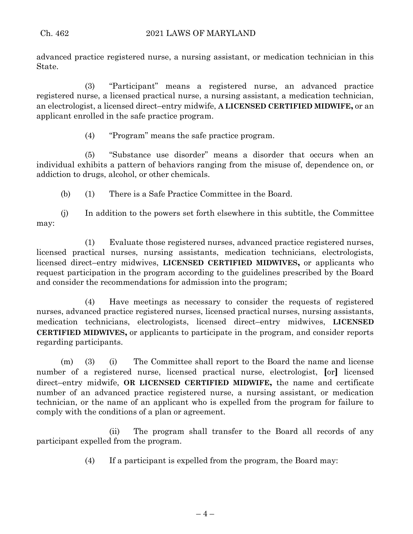advanced practice registered nurse, a nursing assistant, or medication technician in this State.

(3) "Participant" means a registered nurse, an advanced practice registered nurse, a licensed practical nurse, a nursing assistant, a medication technician, an electrologist, a licensed direct–entry midwife, **A LICENSED CERTIFIED MIDWIFE,** or an applicant enrolled in the safe practice program.

(4) "Program" means the safe practice program.

(5) "Substance use disorder" means a disorder that occurs when an individual exhibits a pattern of behaviors ranging from the misuse of, dependence on, or addiction to drugs, alcohol, or other chemicals.

(b) (1) There is a Safe Practice Committee in the Board.

(j) In addition to the powers set forth elsewhere in this subtitle, the Committee may:

(1) Evaluate those registered nurses, advanced practice registered nurses, licensed practical nurses, nursing assistants, medication technicians, electrologists, licensed direct–entry midwives, **LICENSED CERTIFIED MIDWIVES,** or applicants who request participation in the program according to the guidelines prescribed by the Board and consider the recommendations for admission into the program;

(4) Have meetings as necessary to consider the requests of registered nurses, advanced practice registered nurses, licensed practical nurses, nursing assistants, medication technicians, electrologists, licensed direct–entry midwives, **LICENSED CERTIFIED MIDWIVES,** or applicants to participate in the program, and consider reports regarding participants.

(m) (3) (i) The Committee shall report to the Board the name and license number of a registered nurse, licensed practical nurse, electrologist, **[**or**]** licensed direct–entry midwife, **OR LICENSED CERTIFIED MIDWIFE,** the name and certificate number of an advanced practice registered nurse, a nursing assistant, or medication technician, or the name of an applicant who is expelled from the program for failure to comply with the conditions of a plan or agreement.

(ii) The program shall transfer to the Board all records of any participant expelled from the program.

(4) If a participant is expelled from the program, the Board may: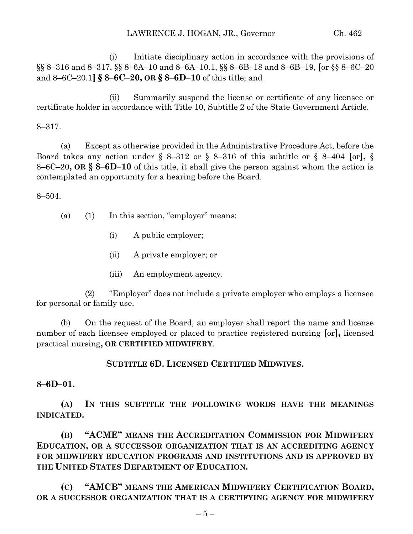(i) Initiate disciplinary action in accordance with the provisions of §§ 8–316 and 8–317, §§ 8–6A–10 and 8–6A–10.1, §§ 8–6B–18 and 8–6B–19, **[**or §§ 8–6C–20 and 8–6C–20.1**] § 8–6C–20, OR § 8–6D–10** of this title; and

(ii) Summarily suspend the license or certificate of any licensee or certificate holder in accordance with Title 10, Subtitle 2 of the State Government Article.

8–317.

(a) Except as otherwise provided in the Administrative Procedure Act, before the Board takes any action under § 8–312 or § 8–316 of this subtitle or § 8–404 **[**or**],** § 8–6C–20**, OR § 8–6D–10** of this title, it shall give the person against whom the action is contemplated an opportunity for a hearing before the Board.

8–504.

- (a) (1) In this section, "employer" means:
	- (i) A public employer;
	- (ii) A private employer; or
	- (iii) An employment agency.

(2) "Employer" does not include a private employer who employs a licensee for personal or family use.

(b) On the request of the Board, an employer shall report the name and license number of each licensee employed or placed to practice registered nursing **[**or**],** licensed practical nursing**, OR CERTIFIED MIDWIFERY**.

# **SUBTITLE 6D. LICENSED CERTIFIED MIDWIVES.**

**8–6D–01.**

**(A) IN THIS SUBTITLE THE FOLLOWING WORDS HAVE THE MEANINGS INDICATED.**

**(B) "ACME" MEANS THE ACCREDITATION COMMISSION FOR MIDWIFERY EDUCATION, OR A SUCCESSOR ORGANIZATION THAT IS AN ACCREDITING AGENCY FOR MIDWIFERY EDUCATION PROGRAMS AND INSTITUTIONS AND IS APPROVED BY THE UNITED STATES DEPARTMENT OF EDUCATION.**

**(C) "AMCB" MEANS THE AMERICAN MIDWIFERY CERTIFICATION BOARD, OR A SUCCESSOR ORGANIZATION THAT IS A CERTIFYING AGENCY FOR MIDWIFERY**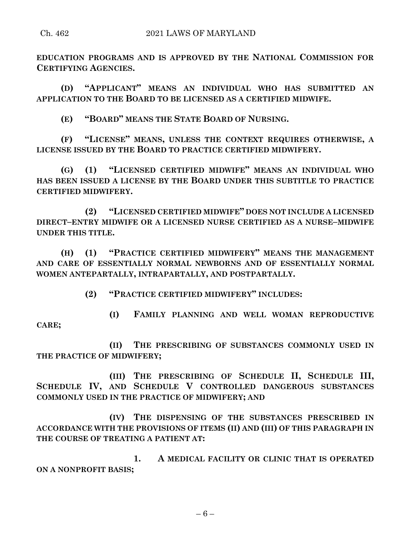**EDUCATION PROGRAMS AND IS APPROVED BY THE NATIONAL COMMISSION FOR CERTIFYING AGENCIES.**

**(D) "APPLICANT" MEANS AN INDIVIDUAL WHO HAS SUBMITTED AN APPLICATION TO THE BOARD TO BE LICENSED AS A CERTIFIED MIDWIFE.**

**(E) "BOARD" MEANS THE STATE BOARD OF NURSING.**

**(F) "LICENSE" MEANS, UNLESS THE CONTEXT REQUIRES OTHERWISE, A LICENSE ISSUED BY THE BOARD TO PRACTICE CERTIFIED MIDWIFERY.**

**(G) (1) "LICENSED CERTIFIED MIDWIFE" MEANS AN INDIVIDUAL WHO HAS BEEN ISSUED A LICENSE BY THE BOARD UNDER THIS SUBTITLE TO PRACTICE CERTIFIED MIDWIFERY.**

**(2) "LICENSED CERTIFIED MIDWIFE" DOES NOT INCLUDE A LICENSED DIRECT–ENTRY MIDWIFE OR A LICENSED NURSE CERTIFIED AS A NURSE–MIDWIFE UNDER THIS TITLE.**

**(H) (1) "PRACTICE CERTIFIED MIDWIFERY" MEANS THE MANAGEMENT AND CARE OF ESSENTIALLY NORMAL NEWBORNS AND OF ESSENTIALLY NORMAL WOMEN ANTEPARTALLY, INTRAPARTALLY, AND POSTPARTALLY.**

**(2) "PRACTICE CERTIFIED MIDWIFERY" INCLUDES:**

**(I) FAMILY PLANNING AND WELL WOMAN REPRODUCTIVE CARE;**

**(II) THE PRESCRIBING OF SUBSTANCES COMMONLY USED IN THE PRACTICE OF MIDWIFERY;**

**(III) THE PRESCRIBING OF SCHEDULE II, SCHEDULE III, SCHEDULE IV, AND SCHEDULE V CONTROLLED DANGEROUS SUBSTANCES COMMONLY USED IN THE PRACTICE OF MIDWIFERY; AND**

**(IV) THE DISPENSING OF THE SUBSTANCES PRESCRIBED IN ACCORDANCE WITH THE PROVISIONS OF ITEMS (II) AND (III) OF THIS PARAGRAPH IN THE COURSE OF TREATING A PATIENT AT:**

**1. A MEDICAL FACILITY OR CLINIC THAT IS OPERATED ON A NONPROFIT BASIS;**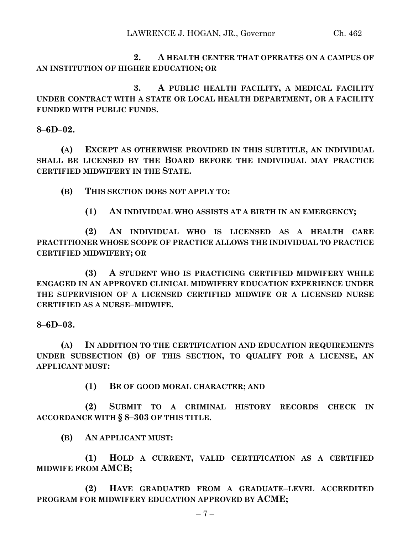**2. A HEALTH CENTER THAT OPERATES ON A CAMPUS OF AN INSTITUTION OF HIGHER EDUCATION; OR**

**3. A PUBLIC HEALTH FACILITY, A MEDICAL FACILITY UNDER CONTRACT WITH A STATE OR LOCAL HEALTH DEPARTMENT, OR A FACILITY FUNDED WITH PUBLIC FUNDS.**

**8–6D–02.**

**(A) EXCEPT AS OTHERWISE PROVIDED IN THIS SUBTITLE, AN INDIVIDUAL SHALL BE LICENSED BY THE BOARD BEFORE THE INDIVIDUAL MAY PRACTICE CERTIFIED MIDWIFERY IN THE STATE.**

**(B) THIS SECTION DOES NOT APPLY TO:**

**(1) AN INDIVIDUAL WHO ASSISTS AT A BIRTH IN AN EMERGENCY;**

**(2) AN INDIVIDUAL WHO IS LICENSED AS A HEALTH CARE PRACTITIONER WHOSE SCOPE OF PRACTICE ALLOWS THE INDIVIDUAL TO PRACTICE CERTIFIED MIDWIFERY; OR**

**(3) A STUDENT WHO IS PRACTICING CERTIFIED MIDWIFERY WHILE ENGAGED IN AN APPROVED CLINICAL MIDWIFERY EDUCATION EXPERIENCE UNDER THE SUPERVISION OF A LICENSED CERTIFIED MIDWIFE OR A LICENSED NURSE CERTIFIED AS A NURSE–MIDWIFE.**

**8–6D–03.**

**(A) IN ADDITION TO THE CERTIFICATION AND EDUCATION REQUIREMENTS UNDER SUBSECTION (B) OF THIS SECTION, TO QUALIFY FOR A LICENSE, AN APPLICANT MUST:**

**(1) BE OF GOOD MORAL CHARACTER; AND**

**(2) SUBMIT TO A CRIMINAL HISTORY RECORDS CHECK IN ACCORDANCE WITH § 8–303 OF THIS TITLE.**

**(B) AN APPLICANT MUST:**

**(1) HOLD A CURRENT, VALID CERTIFICATION AS A CERTIFIED MIDWIFE FROM AMCB;**

**(2) HAVE GRADUATED FROM A GRADUATE–LEVEL ACCREDITED PROGRAM FOR MIDWIFERY EDUCATION APPROVED BY ACME;**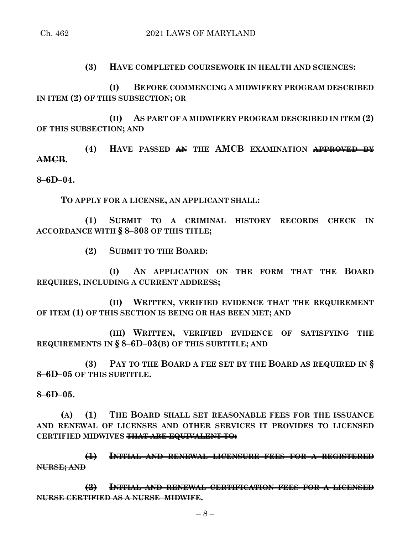**(3) HAVE COMPLETED COURSEWORK IN HEALTH AND SCIENCES:**

**(I) BEFORE COMMENCING A MIDWIFERY PROGRAM DESCRIBED IN ITEM (2) OF THIS SUBSECTION; OR**

**(II) AS PART OF A MIDWIFERY PROGRAM DESCRIBED IN ITEM (2) OF THIS SUBSECTION; AND**

**(4) HAVE PASSED AN THE AMCB EXAMINATION APPROVED BY AMCB.**

**8–6D–04.**

**TO APPLY FOR A LICENSE, AN APPLICANT SHALL:**

**(1) SUBMIT TO A CRIMINAL HISTORY RECORDS CHECK IN ACCORDANCE WITH § 8–303 OF THIS TITLE;**

**(2) SUBMIT TO THE BOARD:**

**(I) AN APPLICATION ON THE FORM THAT THE BOARD REQUIRES, INCLUDING A CURRENT ADDRESS;**

**(II) WRITTEN, VERIFIED EVIDENCE THAT THE REQUIREMENT OF ITEM (1) OF THIS SECTION IS BEING OR HAS BEEN MET; AND**

**(III) WRITTEN, VERIFIED EVIDENCE OF SATISFYING THE REQUIREMENTS IN § 8–6D–03(B) OF THIS SUBTITLE; AND**

**(3) PAY TO THE BOARD A FEE SET BY THE BOARD AS REQUIRED IN § 8–6D–05 OF THIS SUBTITLE.**

**8–6D–05.**

**(A) (1) THE BOARD SHALL SET REASONABLE FEES FOR THE ISSUANCE AND RENEWAL OF LICENSES AND OTHER SERVICES IT PROVIDES TO LICENSED CERTIFIED MIDWIVES THAT ARE EQUIVALENT TO:**

**(1) INITIAL AND RENEWAL LICENSURE FEES FOR A REGISTERED NURSE; AND**

**(2) INITIAL AND RENEWAL CERTIFICATION FEES FOR A LICENSED NURSE CERTIFIED AS A NURSE–MIDWIFE.**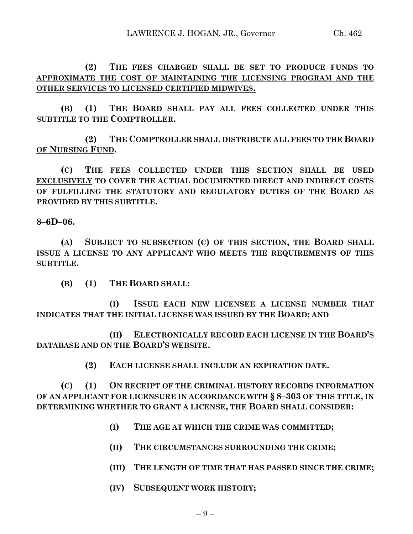**(2) THE FEES CHARGED SHALL BE SET TO PRODUCE FUNDS TO APPROXIMATE THE COST OF MAINTAINING THE LICENSING PROGRAM AND THE OTHER SERVICES TO LICENSED CERTIFIED MIDWIVES.**

**(B) (1) THE BOARD SHALL PAY ALL FEES COLLECTED UNDER THIS SUBTITLE TO THE COMPTROLLER.**

**(2) THE COMPTROLLER SHALL DISTRIBUTE ALL FEES TO THE BOARD OF NURSING FUND.**

**(C) THE FEES COLLECTED UNDER THIS SECTION SHALL BE USED EXCLUSIVELY TO COVER THE ACTUAL DOCUMENTED DIRECT AND INDIRECT COSTS OF FULFILLING THE STATUTORY AND REGULATORY DUTIES OF THE BOARD AS PROVIDED BY THIS SUBTITLE.**

**8–6D–06.**

**(A) SUBJECT TO SUBSECTION (C) OF THIS SECTION, THE BOARD SHALL ISSUE A LICENSE TO ANY APPLICANT WHO MEETS THE REQUIREMENTS OF THIS SUBTITLE.**

**(B) (1) THE BOARD SHALL:**

**(I) ISSUE EACH NEW LICENSEE A LICENSE NUMBER THAT INDICATES THAT THE INITIAL LICENSE WAS ISSUED BY THE BOARD; AND** 

**(II) ELECTRONICALLY RECORD EACH LICENSE IN THE BOARD'S DATABASE AND ON THE BOARD'S WEBSITE.**

**(2) EACH LICENSE SHALL INCLUDE AN EXPIRATION DATE.**

**(C) (1) ON RECEIPT OF THE CRIMINAL HISTORY RECORDS INFORMATION OF AN APPLICANT FOR LICENSURE IN ACCORDANCE WITH § 8–303 OF THIS TITLE, IN DETERMINING WHETHER TO GRANT A LICENSE, THE BOARD SHALL CONSIDER:**

- **(I) THE AGE AT WHICH THE CRIME WAS COMMITTED;**
- **(II) THE CIRCUMSTANCES SURROUNDING THE CRIME;**
- **(III) THE LENGTH OF TIME THAT HAS PASSED SINCE THE CRIME;**
- **(IV) SUBSEQUENT WORK HISTORY;**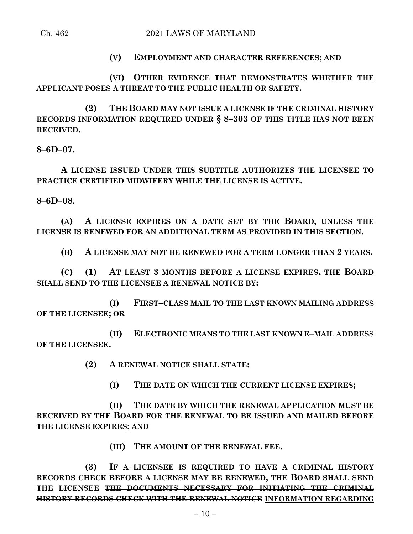Ch. 462 2021 LAWS OF MARYLAND

## **(V) EMPLOYMENT AND CHARACTER REFERENCES; AND**

**(VI) OTHER EVIDENCE THAT DEMONSTRATES WHETHER THE APPLICANT POSES A THREAT TO THE PUBLIC HEALTH OR SAFETY.**

**(2) THE BOARD MAY NOT ISSUE A LICENSE IF THE CRIMINAL HISTORY RECORDS INFORMATION REQUIRED UNDER § 8–303 OF THIS TITLE HAS NOT BEEN RECEIVED.**

**8–6D–07.**

**A LICENSE ISSUED UNDER THIS SUBTITLE AUTHORIZES THE LICENSEE TO PRACTICE CERTIFIED MIDWIFERY WHILE THE LICENSE IS ACTIVE.**

**8–6D–08.**

**(A) A LICENSE EXPIRES ON A DATE SET BY THE BOARD, UNLESS THE LICENSE IS RENEWED FOR AN ADDITIONAL TERM AS PROVIDED IN THIS SECTION.**

**(B) A LICENSE MAY NOT BE RENEWED FOR A TERM LONGER THAN 2 YEARS.**

**(C) (1) AT LEAST 3 MONTHS BEFORE A LICENSE EXPIRES, THE BOARD SHALL SEND TO THE LICENSEE A RENEWAL NOTICE BY:**

**(I) FIRST–CLASS MAIL TO THE LAST KNOWN MAILING ADDRESS OF THE LICENSEE; OR**

**(II) ELECTRONIC MEANS TO THE LAST KNOWN E–MAIL ADDRESS OF THE LICENSEE.**

**(2) A RENEWAL NOTICE SHALL STATE:**

**(I) THE DATE ON WHICH THE CURRENT LICENSE EXPIRES;**

**(II) THE DATE BY WHICH THE RENEWAL APPLICATION MUST BE RECEIVED BY THE BOARD FOR THE RENEWAL TO BE ISSUED AND MAILED BEFORE THE LICENSE EXPIRES; AND**

**(III) THE AMOUNT OF THE RENEWAL FEE.**

**(3) IF A LICENSEE IS REQUIRED TO HAVE A CRIMINAL HISTORY RECORDS CHECK BEFORE A LICENSE MAY BE RENEWED, THE BOARD SHALL SEND THE LICENSEE THE DOCUMENTS NECESSARY FOR INITIATING THE CRIMINAL HISTORY RECORDS CHECK WITH THE RENEWAL NOTICE INFORMATION REGARDING**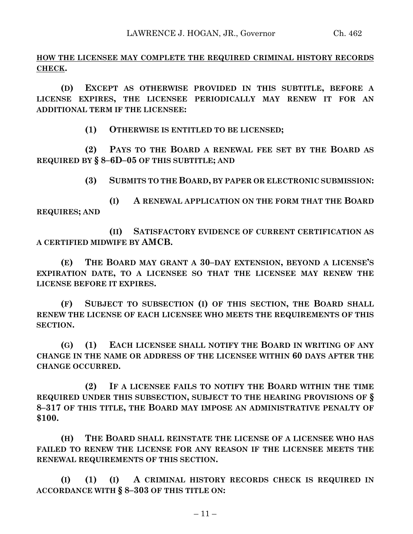**HOW THE LICENSEE MAY COMPLETE THE REQUIRED CRIMINAL HISTORY RECORDS CHECK.**

**(D) EXCEPT AS OTHERWISE PROVIDED IN THIS SUBTITLE, BEFORE A LICENSE EXPIRES, THE LICENSEE PERIODICALLY MAY RENEW IT FOR AN ADDITIONAL TERM IF THE LICENSEE:**

**(1) OTHERWISE IS ENTITLED TO BE LICENSED;**

**(2) PAYS TO THE BOARD A RENEWAL FEE SET BY THE BOARD AS REQUIRED BY § 8–6D–05 OF THIS SUBTITLE; AND**

**(3) SUBMITS TO THE BOARD, BY PAPER OR ELECTRONIC SUBMISSION:**

**(I) A RENEWAL APPLICATION ON THE FORM THAT THE BOARD REQUIRES; AND**

**(II) SATISFACTORY EVIDENCE OF CURRENT CERTIFICATION AS A CERTIFIED MIDWIFE BY AMCB.**

**(E) THE BOARD MAY GRANT A 30–DAY EXTENSION, BEYOND A LICENSE'S EXPIRATION DATE, TO A LICENSEE SO THAT THE LICENSEE MAY RENEW THE LICENSE BEFORE IT EXPIRES.**

**(F) SUBJECT TO SUBSECTION (I) OF THIS SECTION, THE BOARD SHALL RENEW THE LICENSE OF EACH LICENSEE WHO MEETS THE REQUIREMENTS OF THIS SECTION.**

**(G) (1) EACH LICENSEE SHALL NOTIFY THE BOARD IN WRITING OF ANY CHANGE IN THE NAME OR ADDRESS OF THE LICENSEE WITHIN 60 DAYS AFTER THE CHANGE OCCURRED.**

**(2) IF A LICENSEE FAILS TO NOTIFY THE BOARD WITHIN THE TIME REQUIRED UNDER THIS SUBSECTION, SUBJECT TO THE HEARING PROVISIONS OF § 8–317 OF THIS TITLE, THE BOARD MAY IMPOSE AN ADMINISTRATIVE PENALTY OF \$100.**

**(H) THE BOARD SHALL REINSTATE THE LICENSE OF A LICENSEE WHO HAS FAILED TO RENEW THE LICENSE FOR ANY REASON IF THE LICENSEE MEETS THE RENEWAL REQUIREMENTS OF THIS SECTION.**

**(I) (1) (I) A CRIMINAL HISTORY RECORDS CHECK IS REQUIRED IN ACCORDANCE WITH § 8–303 OF THIS TITLE ON:**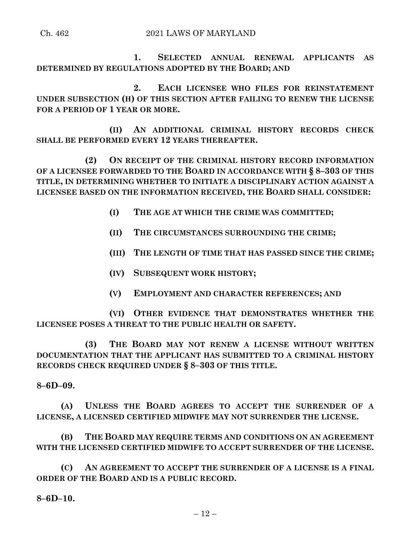Ch. 462 2021 LAWS OF MARYLAND

**1. SELECTED ANNUAL RENEWAL APPLICANTS AS DETERMINED BY REGULATIONS ADOPTED BY THE BOARD; AND**

**2. EACH LICENSEE WHO FILES FOR REINSTATEMENT UNDER SUBSECTION (H) OF THIS SECTION AFTER FAILING TO RENEW THE LICENSE FOR A PERIOD OF 1 YEAR OR MORE.**

**(II) AN ADDITIONAL CRIMINAL HISTORY RECORDS CHECK SHALL BE PERFORMED EVERY 12 YEARS THEREAFTER.**

**(2) ON RECEIPT OF THE CRIMINAL HISTORY RECORD INFORMATION OF A LICENSEE FORWARDED TO THE BOARD IN ACCORDANCE WITH § 8–303 OF THIS TITLE, IN DETERMINING WHETHER TO INITIATE A DISCIPLINARY ACTION AGAINST A LICENSEE BASED ON THE INFORMATION RECEIVED, THE BOARD SHALL CONSIDER:**

- **(I) THE AGE AT WHICH THE CRIME WAS COMMITTED;**
- **(II) THE CIRCUMSTANCES SURROUNDING THE CRIME;**
- **(III) THE LENGTH OF TIME THAT HAS PASSED SINCE THE CRIME;**
- **(IV) SUBSEQUENT WORK HISTORY;**
- **(V) EMPLOYMENT AND CHARACTER REFERENCES; AND**

**(VI) OTHER EVIDENCE THAT DEMONSTRATES WHETHER THE LICENSEE POSES A THREAT TO THE PUBLIC HEALTH OR SAFETY.**

**(3) THE BOARD MAY NOT RENEW A LICENSE WITHOUT WRITTEN DOCUMENTATION THAT THE APPLICANT HAS SUBMITTED TO A CRIMINAL HISTORY RECORDS CHECK REQUIRED UNDER § 8–303 OF THIS TITLE.**

# **8–6D–09.**

**(A) UNLESS THE BOARD AGREES TO ACCEPT THE SURRENDER OF A LICENSE, A LICENSED CERTIFIED MIDWIFE MAY NOT SURRENDER THE LICENSE.**

**(B) THE BOARD MAY REQUIRE TERMS AND CONDITIONS ON AN AGREEMENT WITH THE LICENSED CERTIFIED MIDWIFE TO ACCEPT SURRENDER OF THE LICENSE.**

**(C) AN AGREEMENT TO ACCEPT THE SURRENDER OF A LICENSE IS A FINAL ORDER OF THE BOARD AND IS A PUBLIC RECORD.**

**8–6D–10.**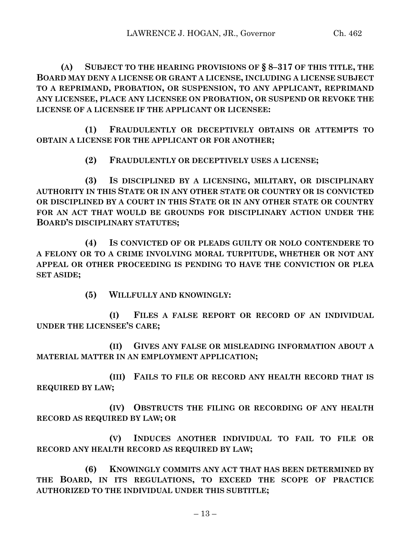**(A) SUBJECT TO THE HEARING PROVISIONS OF § 8–317 OF THIS TITLE, THE BOARD MAY DENY A LICENSE OR GRANT A LICENSE, INCLUDING A LICENSE SUBJECT TO A REPRIMAND, PROBATION, OR SUSPENSION, TO ANY APPLICANT, REPRIMAND ANY LICENSEE, PLACE ANY LICENSEE ON PROBATION, OR SUSPEND OR REVOKE THE LICENSE OF A LICENSEE IF THE APPLICANT OR LICENSEE:**

**(1) FRAUDULENTLY OR DECEPTIVELY OBTAINS OR ATTEMPTS TO OBTAIN A LICENSE FOR THE APPLICANT OR FOR ANOTHER;**

**(2) FRAUDULENTLY OR DECEPTIVELY USES A LICENSE;**

**(3) IS DISCIPLINED BY A LICENSING, MILITARY, OR DISCIPLINARY AUTHORITY IN THIS STATE OR IN ANY OTHER STATE OR COUNTRY OR IS CONVICTED OR DISCIPLINED BY A COURT IN THIS STATE OR IN ANY OTHER STATE OR COUNTRY FOR AN ACT THAT WOULD BE GROUNDS FOR DISCIPLINARY ACTION UNDER THE BOARD'S DISCIPLINARY STATUTES;**

**(4) IS CONVICTED OF OR PLEADS GUILTY OR NOLO CONTENDERE TO A FELONY OR TO A CRIME INVOLVING MORAL TURPITUDE, WHETHER OR NOT ANY APPEAL OR OTHER PROCEEDING IS PENDING TO HAVE THE CONVICTION OR PLEA SET ASIDE;**

**(5) WILLFULLY AND KNOWINGLY:**

**(I) FILES A FALSE REPORT OR RECORD OF AN INDIVIDUAL UNDER THE LICENSEE'S CARE;**

**(II) GIVES ANY FALSE OR MISLEADING INFORMATION ABOUT A MATERIAL MATTER IN AN EMPLOYMENT APPLICATION;**

**(III) FAILS TO FILE OR RECORD ANY HEALTH RECORD THAT IS REQUIRED BY LAW;**

**(IV) OBSTRUCTS THE FILING OR RECORDING OF ANY HEALTH RECORD AS REQUIRED BY LAW; OR** 

**(V) INDUCES ANOTHER INDIVIDUAL TO FAIL TO FILE OR RECORD ANY HEALTH RECORD AS REQUIRED BY LAW;**

**(6) KNOWINGLY COMMITS ANY ACT THAT HAS BEEN DETERMINED BY THE BOARD, IN ITS REGULATIONS, TO EXCEED THE SCOPE OF PRACTICE AUTHORIZED TO THE INDIVIDUAL UNDER THIS SUBTITLE;**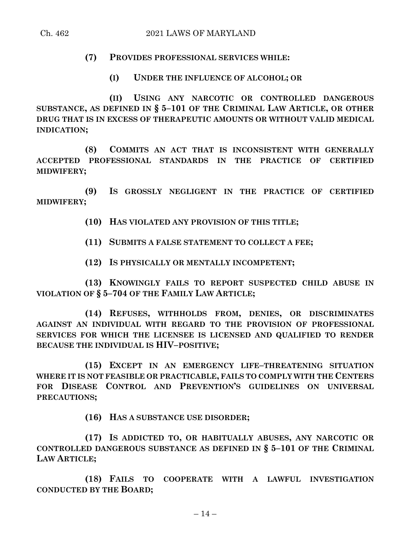# **(7) PROVIDES PROFESSIONAL SERVICES WHILE:**

**(I) UNDER THE INFLUENCE OF ALCOHOL; OR** 

**(II) USING ANY NARCOTIC OR CONTROLLED DANGEROUS SUBSTANCE, AS DEFINED IN § 5–101 OF THE CRIMINAL LAW ARTICLE, OR OTHER DRUG THAT IS IN EXCESS OF THERAPEUTIC AMOUNTS OR WITHOUT VALID MEDICAL INDICATION;**

**(8) COMMITS AN ACT THAT IS INCONSISTENT WITH GENERALLY ACCEPTED PROFESSIONAL STANDARDS IN THE PRACTICE OF CERTIFIED MIDWIFERY;**

**(9) IS GROSSLY NEGLIGENT IN THE PRACTICE OF CERTIFIED MIDWIFERY;**

**(10) HAS VIOLATED ANY PROVISION OF THIS TITLE;**

**(11) SUBMITS A FALSE STATEMENT TO COLLECT A FEE;**

**(12) IS PHYSICALLY OR MENTALLY INCOMPETENT;**

**(13) KNOWINGLY FAILS TO REPORT SUSPECTED CHILD ABUSE IN VIOLATION OF § 5–704 OF THE FAMILY LAW ARTICLE;**

**(14) REFUSES, WITHHOLDS FROM, DENIES, OR DISCRIMINATES AGAINST AN INDIVIDUAL WITH REGARD TO THE PROVISION OF PROFESSIONAL SERVICES FOR WHICH THE LICENSEE IS LICENSED AND QUALIFIED TO RENDER BECAUSE THE INDIVIDUAL IS HIV–POSITIVE;**

**(15) EXCEPT IN AN EMERGENCY LIFE–THREATENING SITUATION WHERE IT IS NOT FEASIBLE OR PRACTICABLE, FAILS TO COMPLY WITH THE CENTERS FOR DISEASE CONTROL AND PREVENTION'S GUIDELINES ON UNIVERSAL PRECAUTIONS;**

**(16) HAS A SUBSTANCE USE DISORDER;**

**(17) IS ADDICTED TO, OR HABITUALLY ABUSES, ANY NARCOTIC OR CONTROLLED DANGEROUS SUBSTANCE AS DEFINED IN § 5–101 OF THE CRIMINAL LAW ARTICLE;**

**(18) FAILS TO COOPERATE WITH A LAWFUL INVESTIGATION CONDUCTED BY THE BOARD;**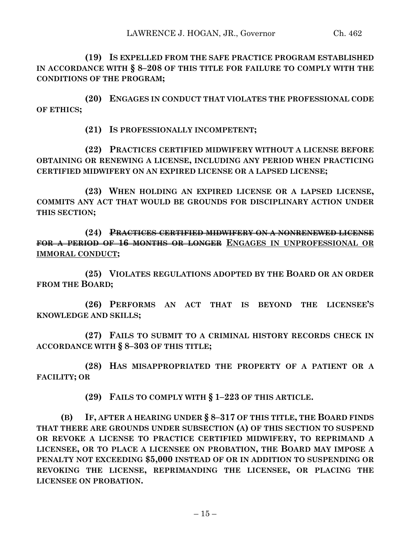**(19) IS EXPELLED FROM THE SAFE PRACTICE PROGRAM ESTABLISHED IN ACCORDANCE WITH § 8–208 OF THIS TITLE FOR FAILURE TO COMPLY WITH THE CONDITIONS OF THE PROGRAM;**

**(20) ENGAGES IN CONDUCT THAT VIOLATES THE PROFESSIONAL CODE OF ETHICS;**

**(21) IS PROFESSIONALLY INCOMPETENT;**

**(22) PRACTICES CERTIFIED MIDWIFERY WITHOUT A LICENSE BEFORE OBTAINING OR RENEWING A LICENSE, INCLUDING ANY PERIOD WHEN PRACTICING CERTIFIED MIDWIFERY ON AN EXPIRED LICENSE OR A LAPSED LICENSE;**

**(23) WHEN HOLDING AN EXPIRED LICENSE OR A LAPSED LICENSE, COMMITS ANY ACT THAT WOULD BE GROUNDS FOR DISCIPLINARY ACTION UNDER THIS SECTION;**

**(24) PRACTICES CERTIFIED MIDWIFERY ON A NONRENEWED LICENSE FOR A PERIOD OF 16 MONTHS OR LONGER ENGAGES IN UNPROFESSIONAL OR IMMORAL CONDUCT;**

**(25) VIOLATES REGULATIONS ADOPTED BY THE BOARD OR AN ORDER FROM THE BOARD;**

**(26) PERFORMS AN ACT THAT IS BEYOND THE LICENSEE'S KNOWLEDGE AND SKILLS;**

**(27) FAILS TO SUBMIT TO A CRIMINAL HISTORY RECORDS CHECK IN ACCORDANCE WITH § 8–303 OF THIS TITLE;**

**(28) HAS MISAPPROPRIATED THE PROPERTY OF A PATIENT OR A FACILITY; OR** 

**(29) FAILS TO COMPLY WITH § 1–223 OF THIS ARTICLE.**

**(B) IF, AFTER A HEARING UNDER § 8–317 OF THIS TITLE, THE BOARD FINDS THAT THERE ARE GROUNDS UNDER SUBSECTION (A) OF THIS SECTION TO SUSPEND OR REVOKE A LICENSE TO PRACTICE CERTIFIED MIDWIFERY, TO REPRIMAND A LICENSEE, OR TO PLACE A LICENSEE ON PROBATION, THE BOARD MAY IMPOSE A PENALTY NOT EXCEEDING \$5,000 INSTEAD OF OR IN ADDITION TO SUSPENDING OR REVOKING THE LICENSE, REPRIMANDING THE LICENSEE, OR PLACING THE LICENSEE ON PROBATION.**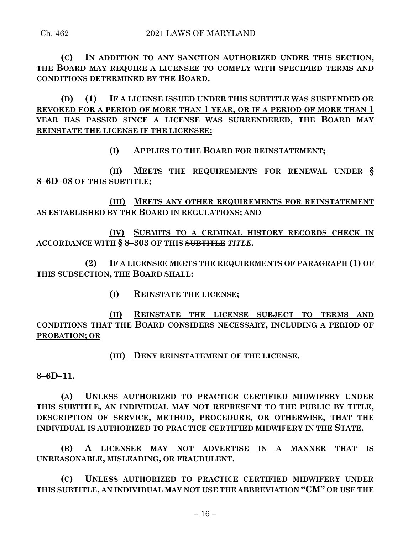**(C) IN ADDITION TO ANY SANCTION AUTHORIZED UNDER THIS SECTION, THE BOARD MAY REQUIRE A LICENSEE TO COMPLY WITH SPECIFIED TERMS AND CONDITIONS DETERMINED BY THE BOARD.**

**(D) (1) IF A LICENSE ISSUED UNDER THIS SUBTITLE WAS SUSPENDED OR REVOKED FOR A PERIOD OF MORE THAN 1 YEAR, OR IF A PERIOD OF MORE THAN 1 YEAR HAS PASSED SINCE A LICENSE WAS SURRENDERED, THE BOARD MAY REINSTATE THE LICENSE IF THE LICENSEE:**

**(I) APPLIES TO THE BOARD FOR REINSTATEMENT;**

**(II) MEETS THE REQUIREMENTS FOR RENEWAL UNDER § 8–6D–08 OF THIS SUBTITLE;**

**(III) MEETS ANY OTHER REQUIREMENTS FOR REINSTATEMENT AS ESTABLISHED BY THE BOARD IN REGULATIONS; AND**

**(IV) SUBMITS TO A CRIMINAL HISTORY RECORDS CHECK IN ACCORDANCE WITH § 8–303 OF THIS SUBTITLE** *TITLE***.**

**(2) IF A LICENSEE MEETS THE REQUIREMENTS OF PARAGRAPH (1) OF THIS SUBSECTION, THE BOARD SHALL:**

**(I) REINSTATE THE LICENSE;**

**(II) REINSTATE THE LICENSE SUBJECT TO TERMS AND CONDITIONS THAT THE BOARD CONSIDERS NECESSARY, INCLUDING A PERIOD OF PROBATION; OR**

# **(III) DENY REINSTATEMENT OF THE LICENSE.**

**8–6D–11.**

**(A) UNLESS AUTHORIZED TO PRACTICE CERTIFIED MIDWIFERY UNDER THIS SUBTITLE, AN INDIVIDUAL MAY NOT REPRESENT TO THE PUBLIC BY TITLE, DESCRIPTION OF SERVICE, METHOD, PROCEDURE, OR OTHERWISE, THAT THE INDIVIDUAL IS AUTHORIZED TO PRACTICE CERTIFIED MIDWIFERY IN THE STATE.**

**(B) A LICENSEE MAY NOT ADVERTISE IN A MANNER THAT IS UNREASONABLE, MISLEADING, OR FRAUDULENT.**

**(C) UNLESS AUTHORIZED TO PRACTICE CERTIFIED MIDWIFERY UNDER THIS SUBTITLE, AN INDIVIDUAL MAY NOT USE THE ABBREVIATION "CM" OR USE THE**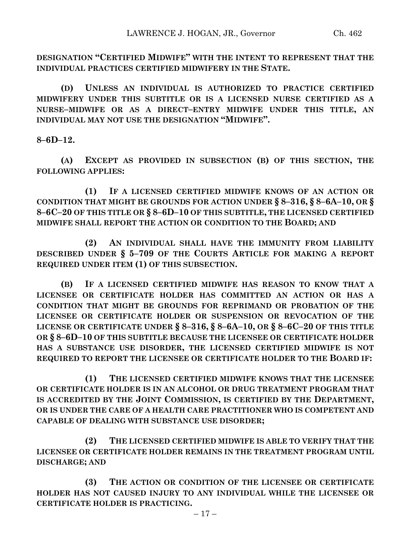**DESIGNATION "CERTIFIED MIDWIFE" WITH THE INTENT TO REPRESENT THAT THE INDIVIDUAL PRACTICES CERTIFIED MIDWIFERY IN THE STATE.**

**(D) UNLESS AN INDIVIDUAL IS AUTHORIZED TO PRACTICE CERTIFIED MIDWIFERY UNDER THIS SUBTITLE OR IS A LICENSED NURSE CERTIFIED AS A NURSE–MIDWIFE OR AS A DIRECT–ENTRY MIDWIFE UNDER THIS TITLE, AN INDIVIDUAL MAY NOT USE THE DESIGNATION "MIDWIFE".**

**8–6D–12.**

**(A) EXCEPT AS PROVIDED IN SUBSECTION (B) OF THIS SECTION, THE FOLLOWING APPLIES:**

**(1) IF A LICENSED CERTIFIED MIDWIFE KNOWS OF AN ACTION OR CONDITION THAT MIGHT BE GROUNDS FOR ACTION UNDER § 8–316, § 8–6A–10, OR § 8–6C–20 OF THIS TITLE OR § 8–6D–10 OF THIS SUBTITLE, THE LICENSED CERTIFIED MIDWIFE SHALL REPORT THE ACTION OR CONDITION TO THE BOARD; AND** 

**(2) AN INDIVIDUAL SHALL HAVE THE IMMUNITY FROM LIABILITY DESCRIBED UNDER § 5–709 OF THE COURTS ARTICLE FOR MAKING A REPORT REQUIRED UNDER ITEM (1) OF THIS SUBSECTION.**

**(B) IF A LICENSED CERTIFIED MIDWIFE HAS REASON TO KNOW THAT A LICENSEE OR CERTIFICATE HOLDER HAS COMMITTED AN ACTION OR HAS A CONDITION THAT MIGHT BE GROUNDS FOR REPRIMAND OR PROBATION OF THE LICENSEE OR CERTIFICATE HOLDER OR SUSPENSION OR REVOCATION OF THE LICENSE OR CERTIFICATE UNDER § 8–316, § 8–6A–10, OR § 8–6C–20 OF THIS TITLE OR § 8–6D–10 OF THIS SUBTITLE BECAUSE THE LICENSEE OR CERTIFICATE HOLDER HAS A SUBSTANCE USE DISORDER, THE LICENSED CERTIFIED MIDWIFE IS NOT REQUIRED TO REPORT THE LICENSEE OR CERTIFICATE HOLDER TO THE BOARD IF:**

**(1) THE LICENSED CERTIFIED MIDWIFE KNOWS THAT THE LICENSEE OR CERTIFICATE HOLDER IS IN AN ALCOHOL OR DRUG TREATMENT PROGRAM THAT IS ACCREDITED BY THE JOINT COMMISSION, IS CERTIFIED BY THE DEPARTMENT, OR IS UNDER THE CARE OF A HEALTH CARE PRACTITIONER WHO IS COMPETENT AND CAPABLE OF DEALING WITH SUBSTANCE USE DISORDER;**

**(2) THE LICENSED CERTIFIED MIDWIFE IS ABLE TO VERIFY THAT THE LICENSEE OR CERTIFICATE HOLDER REMAINS IN THE TREATMENT PROGRAM UNTIL DISCHARGE; AND** 

**(3) THE ACTION OR CONDITION OF THE LICENSEE OR CERTIFICATE HOLDER HAS NOT CAUSED INJURY TO ANY INDIVIDUAL WHILE THE LICENSEE OR CERTIFICATE HOLDER IS PRACTICING.**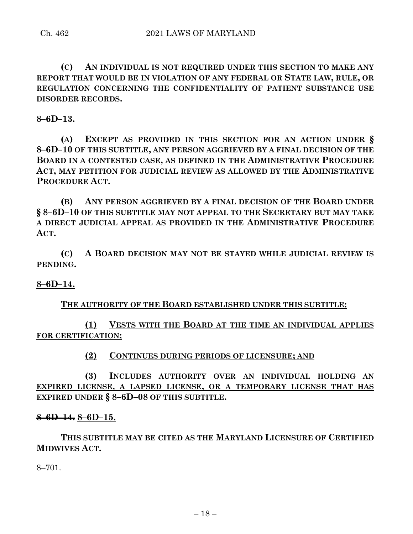**(C) AN INDIVIDUAL IS NOT REQUIRED UNDER THIS SECTION TO MAKE ANY REPORT THAT WOULD BE IN VIOLATION OF ANY FEDERAL OR STATE LAW, RULE, OR REGULATION CONCERNING THE CONFIDENTIALITY OF PATIENT SUBSTANCE USE DISORDER RECORDS.**

**8–6D–13.**

**(A) EXCEPT AS PROVIDED IN THIS SECTION FOR AN ACTION UNDER § 8–6D–10 OF THIS SUBTITLE, ANY PERSON AGGRIEVED BY A FINAL DECISION OF THE BOARD IN A CONTESTED CASE, AS DEFINED IN THE ADMINISTRATIVE PROCEDURE ACT, MAY PETITION FOR JUDICIAL REVIEW AS ALLOWED BY THE ADMINISTRATIVE PROCEDURE ACT.**

**(B) ANY PERSON AGGRIEVED BY A FINAL DECISION OF THE BOARD UNDER § 8–6D–10 OF THIS SUBTITLE MAY NOT APPEAL TO THE SECRETARY BUT MAY TAKE A DIRECT JUDICIAL APPEAL AS PROVIDED IN THE ADMINISTRATIVE PROCEDURE ACT.**

**(C) A BOARD DECISION MAY NOT BE STAYED WHILE JUDICIAL REVIEW IS PENDING.**

## **8–6D–14.**

### **THE AUTHORITY OF THE BOARD ESTABLISHED UNDER THIS SUBTITLE:**

**(1) VESTS WITH THE BOARD AT THE TIME AN INDIVIDUAL APPLIES FOR CERTIFICATION;**

## **(2) CONTINUES DURING PERIODS OF LICENSURE; AND**

**(3) INCLUDES AUTHORITY OVER AN INDIVIDUAL HOLDING AN EXPIRED LICENSE, A LAPSED LICENSE, OR A TEMPORARY LICENSE THAT HAS EXPIRED UNDER § 8–6D–08 OF THIS SUBTITLE.**

#### **8–6D–14. 8–6D–15.**

**THIS SUBTITLE MAY BE CITED AS THE MARYLAND LICENSURE OF CERTIFIED MIDWIVES ACT.**

8–701.